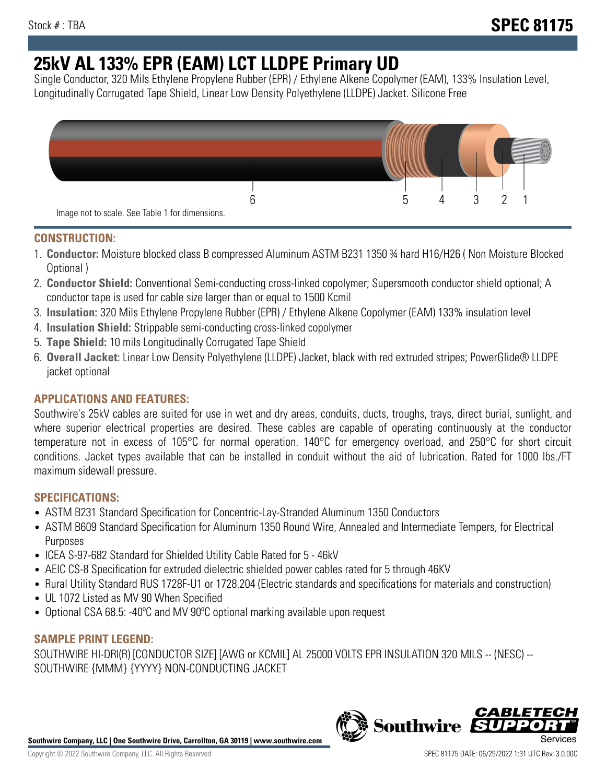# **25kV AL 133% EPR (EAM) LCT LLDPE Primary UD**

Single Conductor, 320 Mils Ethylene Propylene Rubber (EPR) / Ethylene Alkene Copolymer (EAM), 133% Insulation Level, Longitudinally Corrugated Tape Shield, Linear Low Density Polyethylene (LLDPE) Jacket. Silicone Free



## **CONSTRUCTION:**

- 1. **Conductor:** Moisture blocked class B compressed Aluminum ASTM B231 1350 ¾ hard H16/H26 ( Non Moisture Blocked Optional )
- 2. **Conductor Shield:** Conventional Semi-conducting cross-linked copolymer; Supersmooth conductor shield optional; A conductor tape is used for cable size larger than or equal to 1500 Kcmil
- 3. **Insulation:** 320 Mils Ethylene Propylene Rubber (EPR) / Ethylene Alkene Copolymer (EAM) 133% insulation level
- 4. **Insulation Shield:** Strippable semi-conducting cross-linked copolymer
- 5. **Tape Shield:** 10 mils Longitudinally Corrugated Tape Shield
- 6. **Overall Jacket:** Linear Low Density Polyethylene (LLDPE) Jacket, black with red extruded stripes; PowerGlide® LLDPE jacket optional

# **APPLICATIONS AND FEATURES:**

Southwire's 25kV cables are suited for use in wet and dry areas, conduits, ducts, troughs, trays, direct burial, sunlight, and where superior electrical properties are desired. These cables are capable of operating continuously at the conductor temperature not in excess of 105°C for normal operation. 140°C for emergency overload, and 250°C for short circuit conditions. Jacket types available that can be installed in conduit without the aid of lubrication. Rated for 1000 lbs./FT maximum sidewall pressure.

## **SPECIFICATIONS:**

- ASTM B231 Standard Specification for Concentric-Lay-Stranded Aluminum 1350 Conductors
- ASTM B609 Standard Specification for Aluminum 1350 Round Wire, Annealed and Intermediate Tempers, for Electrical Purposes
- ICEA S-97-682 Standard for Shielded Utility Cable Rated for 5 46kV
- AEIC CS-8 Specification for extruded dielectric shielded power cables rated for 5 through 46KV
- Rural Utility Standard RUS 1728F-U1 or 1728.204 (Electric standards and specifications for materials and construction)
- UL 1072 Listed as MV 90 When Specified
- Optional CSA 68.5: -40ºC and MV 90ºC optional marking available upon request

## **SAMPLE PRINT LEGEND:**

SOUTHWIRE HI-DRI(R) [CONDUCTOR SIZE] [AWG or KCMIL] AL 25000 VOLTS EPR INSULATION 320 MILS -- (NESC) -- SOUTHWIRE {MMM} {YYYY} NON-CONDUCTING JACKET



**Southwire** 

**CABLE1**